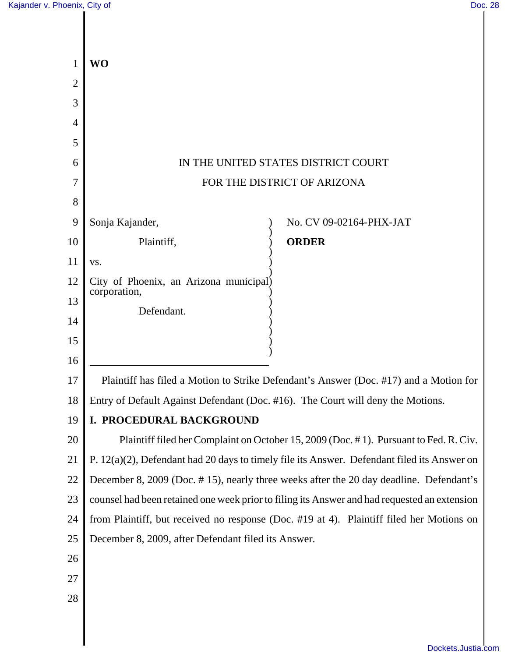| $\mathbf{1}$   | <b>WO</b>                                                                                    |
|----------------|----------------------------------------------------------------------------------------------|
| $\overline{2}$ |                                                                                              |
| 3              |                                                                                              |
| 4<br>5         |                                                                                              |
| 6              | IN THE UNITED STATES DISTRICT COURT                                                          |
| 7              | FOR THE DISTRICT OF ARIZONA                                                                  |
| 8              |                                                                                              |
| 9              | Sonja Kajander,<br>No. CV 09-02164-PHX-JAT                                                   |
| 10             | Plaintiff,<br><b>ORDER</b>                                                                   |
| 11             | VS.                                                                                          |
| 12             | City of Phoenix, an Arizona municipal)                                                       |
| 13             | corporation,                                                                                 |
| 14             | Defendant.                                                                                   |
| 15             |                                                                                              |
| 16             |                                                                                              |
| 17             | Plaintiff has filed a Motion to Strike Defendant's Answer (Doc. #17) and a Motion for        |
| 18             | Entry of Default Against Defendant (Doc. #16). The Court will deny the Motions.              |
| 19             | I. PROCEDURAL BACKGROUND                                                                     |
| 20             | Plaintiff filed her Complaint on October 15, 2009 (Doc. #1). Pursuant to Fed. R. Civ.        |
| 21             | P. 12(a)(2), Defendant had 20 days to timely file its Answer. Defendant filed its Answer on  |
| 22             | December 8, 2009 (Doc. #15), nearly three weeks after the 20 day deadline. Defendant's       |
| 23             | counsel had been retained one week prior to filing its Answer and had requested an extension |
| 24             | from Plaintiff, but received no response (Doc. #19 at 4). Plaintiff filed her Motions on     |
| 25             | December 8, 2009, after Defendant filed its Answer.                                          |
| 26             |                                                                                              |
| 27             |                                                                                              |
| 28             |                                                                                              |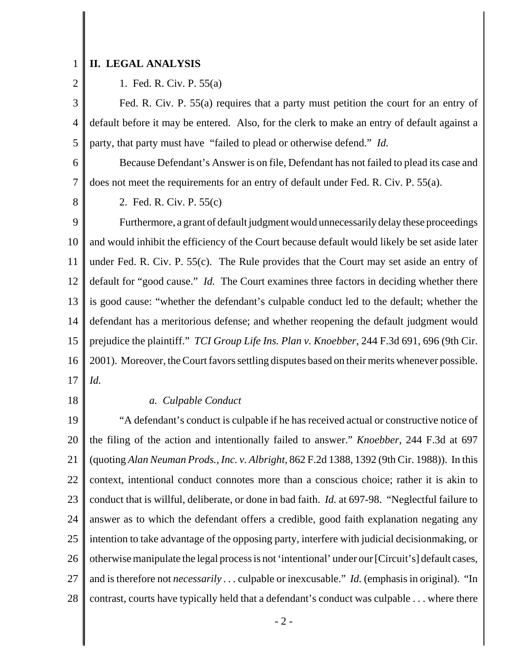#### 1 **II. LEGAL ANALYSIS**

2

1. Fed. R. Civ. P. 55(a)

3 4 5 Fed. R. Civ. P. 55(a) requires that a party must petition the court for an entry of default before it may be entered. Also, for the clerk to make an entry of default against a party, that party must have "failed to plead or otherwise defend." *Id.*

6 7 Because Defendant's Answer is on file, Defendant has not failed to plead its case and does not meet the requirements for an entry of default under Fed. R. Civ. P. 55(a).

8

2. Fed. R. Civ. P. 55(c)

9 10 11 12 13 14 15 16 17 Furthermore, a grant of default judgment would unnecessarily delay these proceedings and would inhibit the efficiency of the Court because default would likely be set aside later under Fed. R. Civ. P. 55(c). The Rule provides that the Court may set aside an entry of default for "good cause." *Id.* The Court examines three factors in deciding whether there is good cause: "whether the defendant's culpable conduct led to the default; whether the defendant has a meritorious defense; and whether reopening the default judgment would prejudice the plaintiff." *TCI Group Life Ins. Plan v. Knoebber*, 244 F.3d 691, 696 (9th Cir. 2001). Moreover, the Court favors settling disputes based on their merits whenever possible. *Id.*

18

### *a. Culpable Conduct*

19 20 21 22 23 24 25 26 27 28 "A defendant's conduct is culpable if he has received actual or constructive notice of the filing of the action and intentionally failed to answer." *Knoebber*, 244 F.3d at 697 (quoting *Alan Neuman Prods., Inc. v. Albright*, 862 F.2d 1388, 1392 (9th Cir. 1988)). In this context, intentional conduct connotes more than a conscious choice; rather it is akin to conduct that is willful, deliberate, or done in bad faith. *Id.* at 697-98. "Neglectful failure to answer as to which the defendant offers a credible, good faith explanation negating any intention to take advantage of the opposing party, interfere with judicial decisionmaking, or otherwise manipulate the legal process is not 'intentional' under our [Circuit's] default cases, and is therefore not *necessarily . . .* culpable or inexcusable." *Id.* (emphasis in original). "In contrast, courts have typically held that a defendant's conduct was culpable . . . where there

- 2 -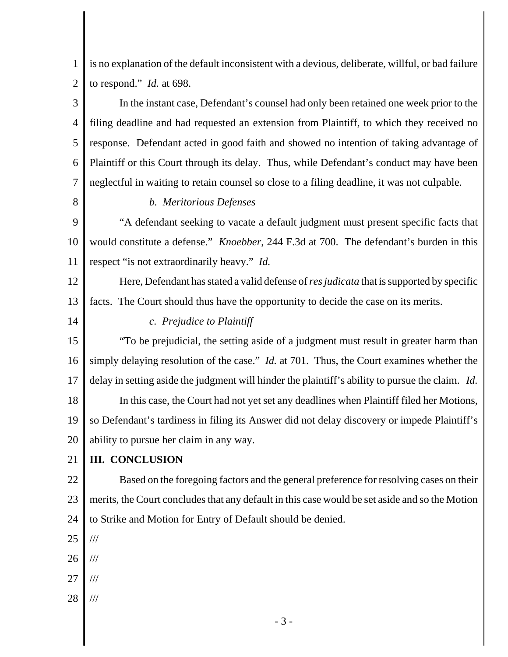1 2 is no explanation of the default inconsistent with a devious, deliberate, willful, or bad failure to respond." *Id.* at 698.

3 4 5 6 7 In the instant case, Defendant's counsel had only been retained one week prior to the filing deadline and had requested an extension from Plaintiff, to which they received no response. Defendant acted in good faith and showed no intention of taking advantage of Plaintiff or this Court through its delay. Thus, while Defendant's conduct may have been neglectful in waiting to retain counsel so close to a filing deadline, it was not culpable.

8

## *b. Meritorious Defenses*

9 10 11 "A defendant seeking to vacate a default judgment must present specific facts that would constitute a defense." *Knoebber*, 244 F.3d at 700. The defendant's burden in this respect "is not extraordinarily heavy." *Id.* 

12 13 Here, Defendant has stated a valid defense of *res judicata* that is supported by specific facts. The Court should thus have the opportunity to decide the case on its merits.

14

# *c. Prejudice to Plaintiff*

15 16 17 18 19 20 "To be prejudicial, the setting aside of a judgment must result in greater harm than simply delaying resolution of the case." *Id.* at 701. Thus, the Court examines whether the delay in setting aside the judgment will hinder the plaintiff's ability to pursue the claim. *Id.* In this case, the Court had not yet set any deadlines when Plaintiff filed her Motions, so Defendant's tardiness in filing its Answer did not delay discovery or impede Plaintiff's ability to pursue her claim in any way.

### 21 **III. CONCLUSION**

22 23 24 Based on the foregoing factors and the general preference for resolving cases on their merits, the Court concludes that any default in this case would be set aside and so the Motion to Strike and Motion for Entry of Default should be denied.

25 ///

- 26 ///
- 27 ///
- 28 ///